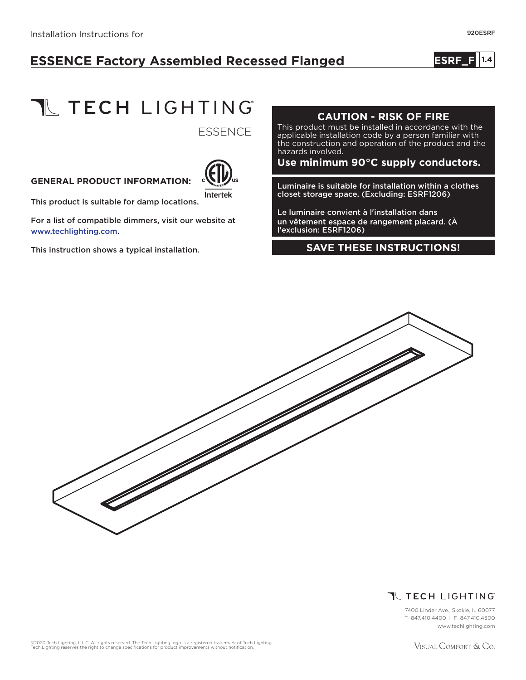# **ESSENCE Factory Assembled Recessed Flanged**

**ESRF\_F 1.410**

**TL TECH LIGHTING** 

**ESSENCE** 

### **GENERAL PRODUCT INFORMATION:**



This product is suitable for damp locations.

For a list of compatible dimmers, visit our website at www.techlighting.com.

This instruction shows a typical installation.

## **CAUTION - RISK OF FIRE**

This product must be installed in accordance with the applicable installation code by a person familiar with the construction and operation of the product and the hazards involved.

**Use minimum 90°C supply conductors.**

Luminaire is suitable for installation within a clothes closet storage space. (Excluding: ESRF1206)

Le luminaire convient à l'installation dans un vêtement espace de rangement placard. (À l'exclusion: ESRF1206)

#### **SAVE THESE INSTRUCTIONS!**





7400 Linder Ave., Skokie, IL 60077 T 847.410.4400 | F 847.410.4500 www.techlighting.com

©2020 Tech Lighting, L.L.C. All rights reserved. The Tech Lighting logo is a registered trademark of Tech Lighting.<br>Tech Lighting reserves the right to change specifications for product improvements without notification.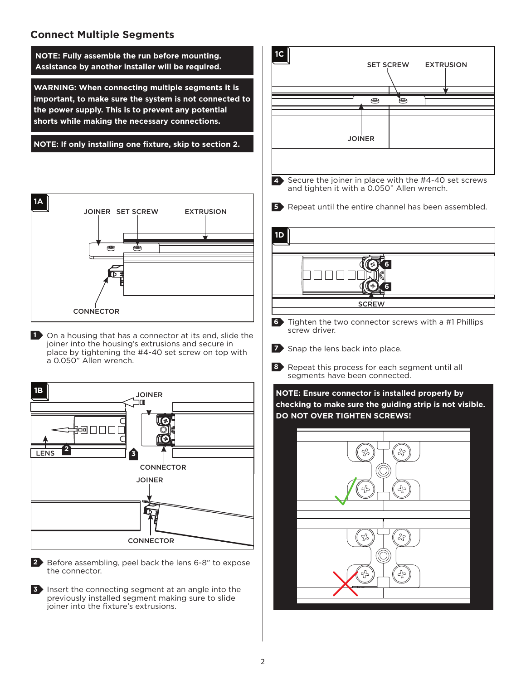# **Connect Multiple Segments**

**WARNING: When connecting multiple segments it is important, to make sure the system is not connected to the power supply. This is to prevent any potential shorts while making the necessary connections. NOTE: Fully assemble the run before mounting. Assistance by another installer will be required. 1C**

**NOTE: If only installing one fixture, skip to section 2.**



1 On a housing that has a connector at its end, slide the joiner into the housing's extrusions and secure in place by tightening the #4-40 set screw on top with a 0.050" Allen wrench.



Before assembling, peel back the lens 6-8" to expose **2** the connector.

**3** Insert the connecting segment at an angle into the previously installed segment making sure to slide joiner into the fixture's extrusions.

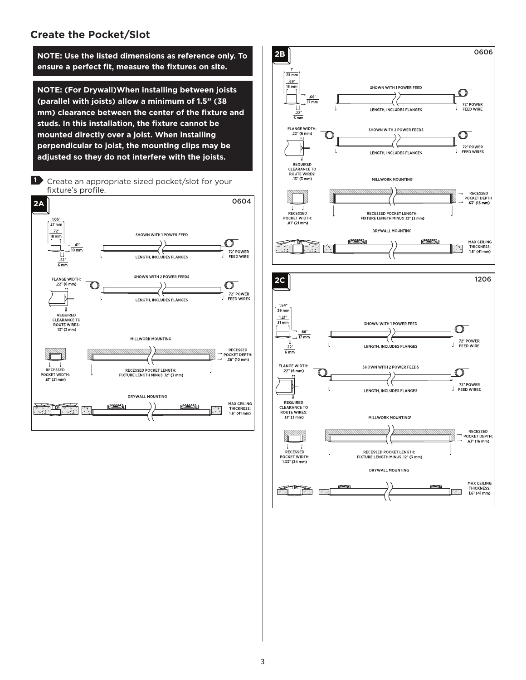#### **Create the Pocket/Slot**

**ensure a perfect fit, measure the fixtures on site.**

**NOTE: (For Drywall)When installing between joists (parallel with joists) allow a minimum of 1.5" (38 mm) clearance between the center of the fixture and studs. In this installation, the fixture cannot be mounted directly over a joist. When installing perpendicular to joist, the mounting clips may be adjusted so they do not interfere with the joists.**